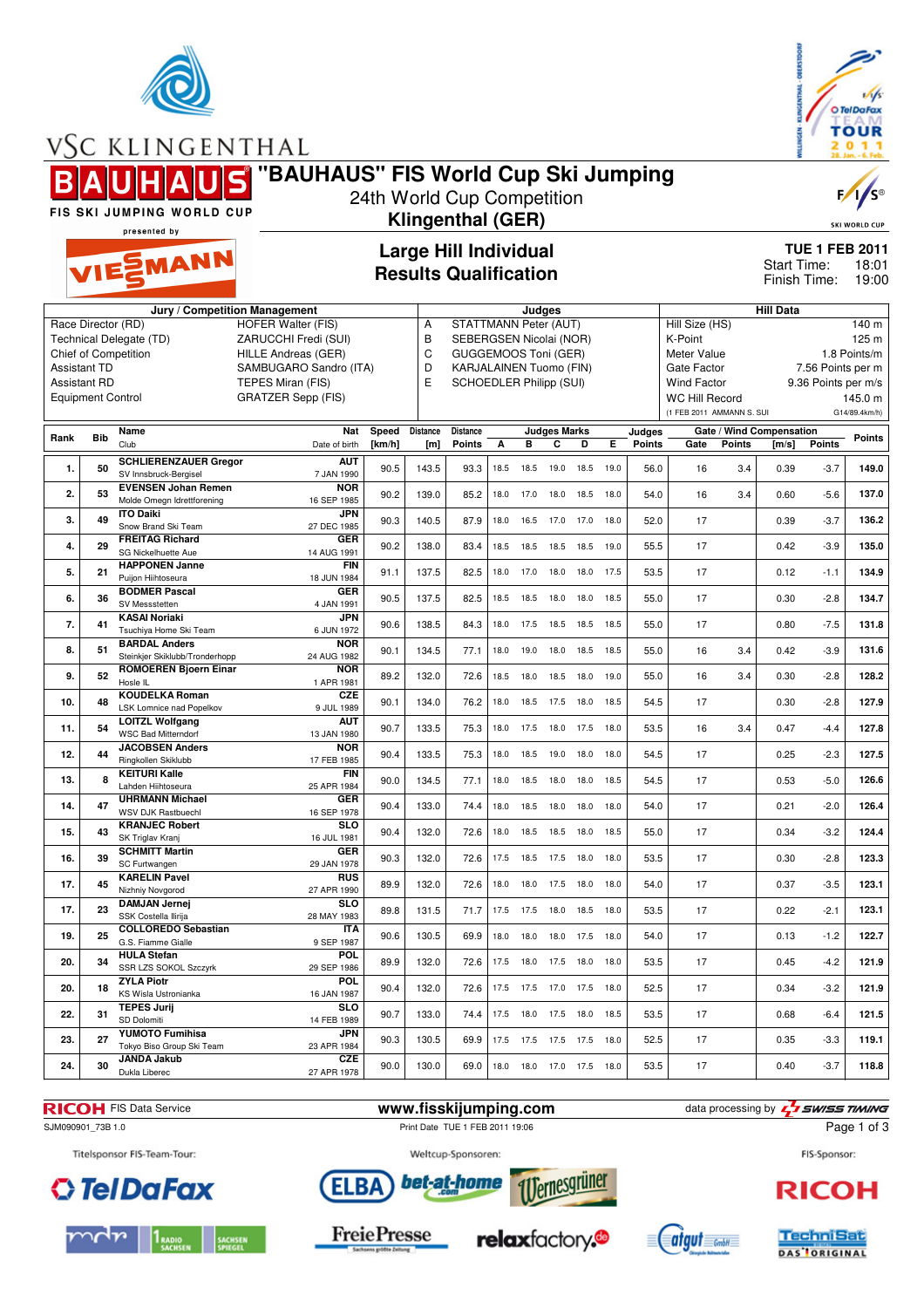

VSC KLINGENTHAL

O Tel Da Fax **TOUR**  $\bf{o}$ 

**"BAUHAUS" FIS World Cup Ski Jumping**

F,

SKI WORLD CUP

FIS SKI JUMPING WORLD CUP presented by

# EMANN

## **Large Hill Individual Results Qualification**

24th World Cup Competition **Klingenthal (GER)**

> **TUE 1 FEB 2011** 18:01 Finish Time: 19:00 Start Time:

|                  |                          | Jury / Competition Management                        |                           |        |                 |                                |      | Judges                   |                     |           |      |        |                           |               | <b>Hill Data</b>         |                     |               |
|------------------|--------------------------|------------------------------------------------------|---------------------------|--------|-----------------|--------------------------------|------|--------------------------|---------------------|-----------|------|--------|---------------------------|---------------|--------------------------|---------------------|---------------|
|                  | Race Director (RD)       |                                                      | <b>HOFER Walter (FIS)</b> |        | Α               | STATTMANN Peter (AUT)          |      |                          |                     |           |      |        | Hill Size (HS)            |               |                          |                     | 140 m         |
|                  |                          | Technical Delegate (TD)                              | ZARUCCHI Fredi (SUI)      |        | B               | SEBERGSEN Nicolai (NOR)        |      |                          |                     |           |      |        | K-Point                   |               |                          |                     | 125 m         |
|                  |                          | <b>Chief of Competition</b>                          | HILLE Andreas (GER)       |        | C               | <b>GUGGEMOOS Toni (GER)</b>    |      |                          |                     |           |      |        | Meter Value               |               |                          |                     | 1.8 Points/m  |
|                  | <b>Assistant TD</b>      |                                                      | SAMBUGARO Sandro (ITA)    |        | D               | <b>KARJALAINEN Tuomo (FIN)</b> |      |                          |                     |           |      |        | Gate Factor               |               |                          | 7.56 Points per m   |               |
|                  | <b>Assistant RD</b>      |                                                      | TEPES Miran (FIS)         |        | E               | SCHOEDLER Philipp (SUI)        |      |                          |                     |           |      |        | <b>Wind Factor</b>        |               |                          | 9.36 Points per m/s |               |
|                  | <b>Equipment Control</b> |                                                      | <b>GRATZER Sepp (FIS)</b> |        |                 |                                |      |                          |                     |           |      |        | <b>WC Hill Record</b>     |               |                          |                     | 145.0 m       |
|                  |                          |                                                      |                           |        |                 |                                |      |                          |                     |           |      |        | (1 FEB 2011 AMMANN S. SUI |               |                          |                     | G14/89.4km/h) |
|                  |                          | Name                                                 | <b>Nat</b>                | Speed  | <b>Distance</b> | <b>Distance</b>                |      |                          | <b>Judges Marks</b> |           |      | Judges |                           |               | Gate / Wind Compensation |                     |               |
| Rank             | <b>Bib</b>               | Club                                                 | Date of birth             | [km/h] | [m]             | <b>Points</b>                  | А    | в                        | C                   | D         | Е    | Points | Gate                      | <b>Points</b> | $\mathsf{Im/s}$          | <b>Points</b>       | <b>Points</b> |
| 1.               | 50                       | <b>SCHLIERENZAUER Gregor</b>                         | <b>AUT</b>                |        |                 |                                |      |                          |                     |           |      |        |                           |               |                          |                     | 149.0         |
|                  |                          | SV Innsbruck-Bergisel                                | 7 JAN 1990                | 90.5   | 143.5           | 93.3                           | 18.5 | 18.5                     | 19.0                | 18.5      | 19.0 | 56.0   | 16                        | 3.4           | 0.39                     | $-3.7$              |               |
| 2.               | 53                       | <b>EVENSEN Johan Remen</b>                           | <b>NOR</b>                | 90.2   | 139.0           | 85.2                           | 18.0 | 17.0                     |                     | 18.0 18.5 | 18.0 | 54.0   | 16                        | 3.4           | 0.60                     | $-5.6$              | 137.0         |
|                  |                          | Molde Omegn Idrettforening                           | 16 SEP 1985               |        |                 |                                |      |                          |                     |           |      |        |                           |               |                          |                     |               |
| 3.               | 49                       | <b>ITO Daiki</b><br>Snow Brand Ski Team              | <b>JPN</b><br>27 DEC 1985 | 90.3   | 140.5           | 87.9                           | 18.0 | 16.5                     | 17.0                | 17.0      | 18.0 | 52.0   | 17                        |               | 0.39                     | $-3.7$              | 136.2         |
|                  |                          | <b>FREITAG Richard</b>                               | <b>GER</b>                |        |                 |                                |      |                          |                     |           |      |        |                           |               |                          |                     |               |
| 4.               | 29                       | SG Nickelhuette Aue                                  | 14 AUG 1991               | 90.2   | 138.0           | 83.4                           | 18.5 | 18.5                     | 18.5 18.5           |           | 19.0 | 55.5   | 17                        |               | 0.42                     | $-3.9$              | 135.0         |
| 5.               | 21                       | <b>HAPPONEN Janne</b>                                | <b>FIN</b>                | 91.1   | 137.5           | 82.5                           | 18.0 | 17.0                     | 18.0                | 18.0      | 17.5 | 53.5   | 17                        |               | 0.12                     | $-1.1$              | 134.9         |
|                  |                          | Puijon Hiihtoseura                                   | 18 JUN 1984               |        |                 |                                |      |                          |                     |           |      |        |                           |               |                          |                     |               |
| 6.               | 36                       | <b>BODMER Pascal</b>                                 | <b>GER</b>                | 90.5   | 137.5           | 82.5                           | 18.5 | 18.5                     | 18.0                | 18.0      | 18.5 | 55.0   | 17                        |               | 0.30                     | $-2.8$              | 134.7         |
|                  |                          | SV Messstetten<br><b>KASAI Noriaki</b>               | 4 JAN 1991<br><b>JPN</b>  |        |                 |                                |      |                          |                     |           |      |        |                           |               |                          |                     |               |
| $\overline{7}$ . | 41                       | Tsuchiya Home Ski Team                               | 6 JUN 1972                | 90.6   | 138.5           | 84.3                           | 18.0 | 17.5                     | 18.5                | 18.5      | 18.5 | 55.0   | 17                        |               | 0.80                     | $-7.5$              | 131.8         |
|                  |                          | <b>BARDAL Anders</b>                                 | <b>NOR</b>                |        |                 |                                |      |                          |                     |           |      |        |                           |               |                          |                     |               |
| 8.               | 51                       | Steinkjer Skiklubb/Tronderhopp                       | 24 AUG 1982               | 90.1   | 134.5           | 77.1                           | 18.0 | 19.0                     | 18.0                | 18.5      | 18.5 | 55.0   | 16                        | 3.4           | 0.42                     | $-3.9$              | 131.6         |
| 9.               | 52                       | <b>ROMOEREN Bjoern Einar</b>                         | <b>NOR</b>                | 89.2   | 132.0           | 72.6                           | 18.5 | 18.0                     | 18.5                | 18.0      | 19.0 | 55.0   | 16                        | 3.4           | 0.30                     | $-2.8$              | 128.2         |
|                  |                          | Hosle IL                                             | 1 APR 1981                |        |                 |                                |      |                          |                     |           |      |        |                           |               |                          |                     |               |
| 10.              | 48                       | <b>KOUDELKA Roman</b>                                | <b>CZE</b>                | 90.1   | 134.0           | 76.2                           | 18.0 | 18.5                     | 17.5                | 18.0      | 18.5 | 54.5   | 17                        |               | 0.30                     | $-2.8$              | 127.9         |
|                  |                          | LSK Lomnice nad Popelkov                             | 9 JUL 1989<br><b>AUT</b>  |        |                 |                                |      |                          |                     |           |      |        |                           |               |                          |                     |               |
| 11.              | 54                       | <b>LOITZL Wolfgang</b><br><b>WSC Bad Mitterndorf</b> | 13 JAN 1980               | 90.7   | 133.5           | 75.3                           | 18.0 | 17.5                     | 18.0                | 17.5      | 18.0 | 53.5   | 16                        | 3.4           | 0.47                     | $-4.4$              | 127.8         |
|                  |                          | <b>JACOBSEN Anders</b>                               | <b>NOR</b>                |        |                 |                                |      |                          |                     |           |      |        |                           |               |                          |                     |               |
| 12.              | 44                       | Ringkollen Skiklubb                                  | 17 FEB 1985               | 90.4   | 133.5           | 75.3                           | 18.0 | 18.5                     |                     | 19.0 18.0 | 18.0 | 54.5   | 17                        |               | 0.25                     | $-2.3$              | 127.5         |
| 13.              | 8                        | <b>KEITURI Kalle</b>                                 | <b>FIN</b>                | 90.0   | 134.5           | 77.1                           | 18.0 | 18.5                     | 18.0                | 18.0      | 18.5 | 54.5   | 17                        |               | 0.53                     | $-5.0$              | 126.6         |
|                  |                          | Lahden Hiihtoseura                                   | 25 APR 1984               |        |                 |                                |      |                          |                     |           |      |        |                           |               |                          |                     |               |
| 14.              | 47                       | <b>UHRMANN Michael</b><br><b>WSV DJK Rastbuechl</b>  | <b>GER</b><br>16 SEP 1978 | 90.4   | 133.0           | 74.4                           | 18.0 | 18.5                     | 18.0                | 18.0      | 18.0 | 54.0   | 17                        |               | 0.21                     | $-2.0$              | 126.4         |
|                  |                          | <b>KRANJEC Robert</b>                                | <b>SLO</b>                |        |                 |                                |      |                          |                     |           |      |        |                           |               |                          |                     |               |
| 15.              | 43                       | SK Triglav Kranj                                     | 16 JUL 1981               | 90.4   | 132.0           | 72.6                           | 18.0 | 18.5                     | 18.5                | 18.0      | 18.5 | 55.0   | 17                        |               | 0.34                     | $-3.2$              | 124.4         |
|                  | 39                       | <b>SCHMITT Martin</b>                                | <b>GER</b>                |        |                 |                                |      |                          |                     |           |      |        |                           |               |                          |                     | 123.3         |
| 16.              |                          | SC Furtwangen                                        | 29 JAN 1978               | 90.3   | 132.0           | 72.6                           | 17.5 | 18.5                     | 17.5                | 18.0      | 18.0 | 53.5   | 17                        |               | 0.30                     | $-2.8$              |               |
| 17.              | 45                       | <b>KARELIN Pavel</b>                                 | <b>RUS</b>                | 89.9   | 132.0           | 72.6                           | 18.0 | 18.0                     | 17.5                | 18.0      | 18.0 | 54.0   | 17                        |               | 0.37                     | $-3.5$              | 123.1         |
|                  |                          | Nizhniy Novgorod                                     | 27 APR 1990               |        |                 |                                |      |                          |                     |           |      |        |                           |               |                          |                     |               |
| 17.              | 23                       | <b>DAMJAN Jernei</b><br>SSK Costella Ilirija         | <b>SLO</b><br>28 MAY 1983 | 89.8   | 131.5           | 71.7                           | 17.5 | 17.5                     | 18.0                | 18.5      | 18.0 | 53.5   | 17                        |               | 0.22                     | $-2.1$              | 123.1         |
|                  |                          | <b>COLLOREDO Sebastian</b>                           | <b>ITA</b>                |        |                 |                                |      |                          |                     |           |      |        |                           |               |                          |                     |               |
| 19.              | 25                       | G.S. Fiamme Gialle                                   | 9 SEP 1987                | 90.6   | 130.5           | 69.9                           | 18.0 | 18.0                     | 18.0                | 17.5      | 18.0 | 54.0   | 17                        |               | 0.13                     | $-1.2$              | 122.7         |
| 20.              | 34                       | <b>HULA Stefan</b>                                   | POL                       | 89.9   | 132.0           | 72.6                           |      |                          |                     |           | 18.0 | 53.5   | 17                        |               | 0.45                     | $-4.2$              | 121.9         |
|                  |                          | SSR LZS SOKOL Szczyrk                                | 29 SEP 1986               |        |                 |                                | 17.5 | 18.0                     | 17.5                | 18.0      |      |        |                           |               |                          |                     |               |
| 20.              | 18                       | <b>ZYLA Piotr</b>                                    | <b>POL</b>                | 90.4   | 132.0           | 72.6                           | 17.5 | 17.5                     | 17.0                | 17.5      | 18.0 | 52.5   | 17                        |               | 0.34                     | $-3.2$              | 121.9         |
|                  |                          | KS Wisla Ustronianka                                 | 16 JAN 1987               |        |                 |                                |      |                          |                     |           |      |        |                           |               |                          |                     |               |
| 22.              | 31                       | <b>TEPES Jurij</b><br>SD Dolomiti                    | <b>SLO</b><br>14 FEB 1989 | 90.7   | 133.0           | 74.4                           | 17.5 | 18.0                     | 17.5 18.0           |           | 18.5 | 53.5   | 17                        |               | 0.68                     | $-6.4$              | 121.5         |
|                  |                          | YUMOTO Fumihisa                                      | <b>JPN</b>                |        |                 |                                |      |                          |                     |           |      |        |                           |               |                          |                     |               |
| 23.              | 27                       | Tokyo Biso Group Ski Team                            | 23 APR 1984               | 90.3   | 130.5           | 69.9                           | 17.5 | 17.5                     | 17.5                | 17.5      | 18.0 | 52.5   | 17                        |               | 0.35                     | $-3.3$              | 119.1         |
| 24.              | 30                       | <b>JANDA Jakub</b>                                   | <b>CZE</b>                | 90.0   | 130.0           | 69.0                           |      | 18.0 18.0 17.0 17.5 18.0 |                     |           |      | 53.5   | 17                        |               | 0.40                     | $-3.7$              | 118.8         |
|                  |                          | Dukla Liberec                                        | 27 APR 1978               |        |                 |                                |      |                          |                     |           |      |        |                           |               |                          |                     |               |



SJM090901\_73B 1.0 Print Date TUE 1 FEB 2011 19:06

**RICOH** FIS Data Service **www.fisskijumping.com** data processing by  $\frac{7}{2}$  **swiss TIMING** 

Weltcup-Sponsoren:

bet-at-home

Page 1 of 3







**ELBA** 



*<u><u><b>Fernesgrünen</u>*</u>





FIS-Sponsor:

**RICOH**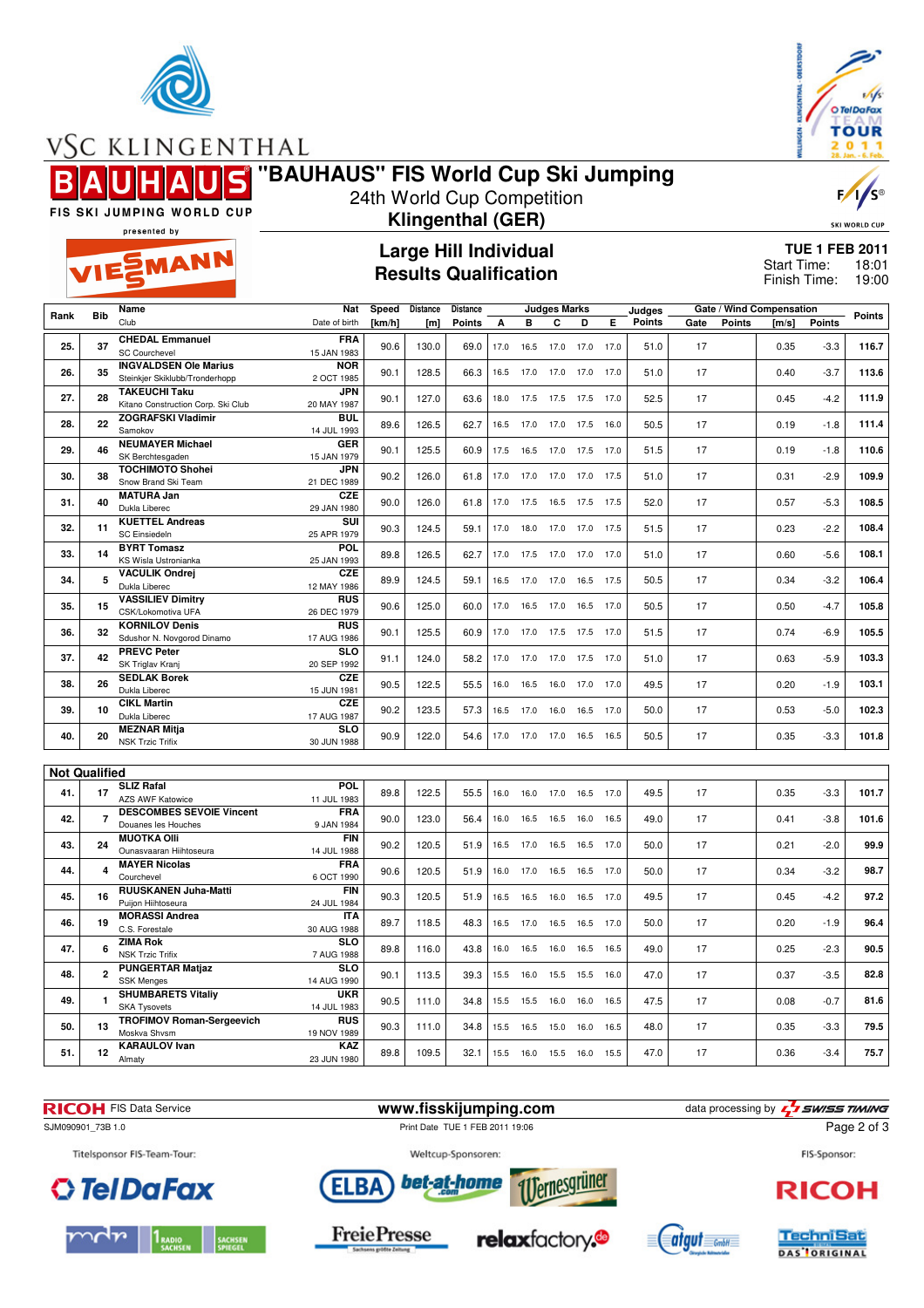



VSC KLINGENTHAL

EMANN

### **"BAUHAUS" FIS World Cup Ski Jumping**

FIS SKI JUMPING WORLD CUP

#### 24th World Cup Competition **Klingenthal (GER)**

## SKI WORLD CUP

F,

presented by

#### **Large Hill Individual Results Qualification**

**TUE 1 FEB 2011** 18:01 Finish Time: 19:00 Start Time:

|                      |                         | Name                                                           | Nat                       | Speed  | Distance | <b>Distance</b> |      |                          | Judges Marks |                |      | Judges |      |               | Gate / Wind Compensation |               |               |
|----------------------|-------------------------|----------------------------------------------------------------|---------------------------|--------|----------|-----------------|------|--------------------------|--------------|----------------|------|--------|------|---------------|--------------------------|---------------|---------------|
| Rank                 | <b>Bib</b>              | Club                                                           | Date of birth             | [km/h] | [m]      | <b>Points</b>   | А    | в                        | C            | D              | Е    | Points | Gate | <b>Points</b> | [m/s]                    | <b>Points</b> | <b>Points</b> |
| 25.                  | 37                      | <b>CHEDAL Emmanuel</b><br><b>SC Courchevel</b>                 | <b>FRA</b><br>15 JAN 1983 | 90.6   | 130.0    | 69.0            | 17.0 | 16.5                     | 17.0         | 17.0           | 17.0 | 51.0   | 17   |               | 0.35                     | $-3.3$        | 116.7         |
|                      |                         |                                                                |                           |        |          |                 |      |                          |              |                |      |        |      |               |                          |               |               |
| 26.                  | 35                      | <b>INGVALDSEN Ole Marius</b><br>Steinkjer Skiklubb/Tronderhopp | <b>NOR</b><br>2 OCT 1985  | 90.1   | 128.5    | 66.3            | 16.5 | 17.0                     | 17.0         | 17.0           | 17.0 | 51.0   | 17   |               | 0.40                     | $-3.7$        | 113.6         |
| 27.                  | 28                      | <b>TAKEUCHI Taku</b>                                           | <b>JPN</b>                | 90.1   | 127.0    | 63.6            | 18.0 | 17.5                     | 17.5         | 17.5           | 17.0 | 52.5   | 17   |               | 0.45                     | $-4.2$        | 111.9         |
|                      |                         | Kitano Construction Corp. Ski Club                             | 20 MAY 1987               |        |          |                 |      |                          |              |                |      |        |      |               |                          |               |               |
| 28.                  | 22                      | <b>ZOGRAFSKI Vladimir</b><br>Samokov                           | <b>BUL</b><br>14 JUL 1993 | 89.6   | 126.5    | 62.7            | 16.5 | 17.0                     | 17.0         | 17.5           | 16.0 | 50.5   | 17   |               | 0.19                     | $-1.8$        | 111.4         |
| 29.                  | 46                      | <b>NEUMAYER Michael</b>                                        | GER                       | 90.1   | 125.5    | 60.9            | 17.5 | 16.5                     |              | 17.0 17.5 17.0 |      | 51.5   | 17   |               | 0.19                     | $-1.8$        | 110.6         |
|                      |                         | SK Berchtesgaden                                               | 15 JAN 1979               |        |          |                 |      |                          |              |                |      |        |      |               |                          |               |               |
| 30.                  | 38                      | <b>TOCHIMOTO Shohei</b><br>Snow Brand Ski Team                 | <b>JPN</b><br>21 DEC 1989 | 90.2   | 126.0    | 61.8            | 17.0 | 17.0                     | 17.0         | 17.0           | 17.5 | 51.0   | 17   |               | 0.31                     | $-2.9$        | 109.9         |
|                      |                         | <b>MATURA Jan</b>                                              | <b>CZE</b>                |        |          |                 |      |                          |              |                |      |        |      |               |                          |               |               |
| 31.                  | 40                      | Dukla Liberec                                                  | 29 JAN 1980               | 90.0   | 126.0    | 61.8            | 17.0 | 17.5                     |              | 16.5 17.5 17.5 |      | 52.0   | 17   |               | 0.57                     | $-5.3$        | 108.5         |
|                      |                         | <b>KUETTEL Andreas</b>                                         | SUI                       |        |          |                 |      |                          |              |                |      |        |      |               |                          |               |               |
| 32.                  | 11                      | <b>SC Einsiedeln</b>                                           | 25 APR 1979               | 90.3   | 124.5    | 59.1            | 17.0 | 18.0                     | 17.0         | 17.0           | 17.5 | 51.5   | 17   |               | 0.23                     | $-2.2$        | 108.4         |
| 33.                  | 14                      | <b>BYRT Tomasz</b><br>KS Wisla Ustronianka                     | <b>POL</b><br>25 JAN 1993 | 89.8   | 126.5    | 62.7            | 17.0 | 17.5                     |              | 17.0 17.0 17.0 |      | 51.0   | 17   |               | 0.60                     | $-5.6$        | 108.1         |
|                      |                         | <b>VACULIK Ondrei</b>                                          | <b>CZE</b>                |        |          |                 |      |                          |              |                |      |        |      |               |                          |               |               |
| 34.                  | 5                       | Dukla Liberec                                                  | 12 MAY 1986               | 89.9   | 124.5    | 59.1            | 16.5 | 17.0                     | 17.0         | 16.5           | 17.5 | 50.5   | 17   |               | 0.34                     | $-3.2$        | 106.4         |
| 35.                  | 15                      | <b>VASSILIEV Dimitry</b><br>CSK/Lokomotiva UFA                 | <b>RUS</b><br>26 DEC 1979 | 90.6   | 125.0    | 60.0            | 17.0 | 16.5                     | 17.0         | 16.5           | 17.0 | 50.5   | 17   |               | 0.50                     | $-4.7$        | 105.8         |
|                      |                         | <b>KORNILOV Denis</b>                                          | <b>RUS</b>                |        |          |                 |      |                          |              |                |      |        |      |               |                          |               |               |
| 36.                  | 32                      | Sdushor N. Novgorod Dinamo                                     | 17 AUG 1986               | 90.1   | 125.5    | 60.9            | 17.0 | 17.0                     |              | 17.5 17.5 17.0 |      | 51.5   | 17   |               | 0.74                     | $-6.9$        | 105.5         |
|                      |                         | <b>PREVC Peter</b>                                             | <b>SLO</b>                |        |          |                 |      |                          |              |                |      |        |      |               |                          |               |               |
| 37.                  | 42                      | SK Triglav Kranj                                               | 20 SEP 1992               | 91.1   | 124.0    | 58.2            | 17.0 | 17.0                     | 17.0         | 17.5           | 17.0 | 51.0   | 17   |               | 0.63                     | $-5.9$        | 103.3         |
| 38.                  | 26                      | <b>SEDLAK Borek</b>                                            | <b>CZE</b>                | 90.5   | 122.5    | 55.5            | 16.0 | 16.5                     |              | 16.0 17.0 17.0 |      | 49.5   | 17   |               | 0.20                     | $-1.9$        | 103.1         |
|                      |                         | Dukla Liberec                                                  | 15 JUN 1981               |        |          |                 |      |                          |              |                |      |        |      |               |                          |               |               |
| 39.                  | 10                      | <b>CIKL Martin</b><br>Dukla Liberec                            | <b>CZE</b><br>17 AUG 1987 | 90.2   | 123.5    | 57.3            | 16.5 | 17.0                     | 16.0         | 16.5           | 17.0 | 50.0   | 17   |               | 0.53                     | $-5.0$        | 102.3         |
|                      |                         | <b>MEZNAR Mitja</b>                                            | <b>SLO</b>                |        |          |                 |      |                          |              |                |      |        |      |               |                          |               |               |
| 40.                  | 20                      | <b>NSK Trzic Trifix</b>                                        | 30 JUN 1988               | 90.9   | 122.0    | 54.6            |      | 17.0 17.0 17.0 16.5 16.5 |              |                |      | 50.5   | 17   |               | 0.35                     | $-3.3$        | 101.8         |
|                      |                         |                                                                |                           |        |          |                 |      |                          |              |                |      |        |      |               |                          |               |               |
| <b>Not Qualified</b> |                         |                                                                |                           |        |          |                 |      |                          |              |                |      |        |      |               |                          |               |               |
| 41.                  | 17                      | <b>SLIZ Rafal</b><br><b>AZS AWF Katowice</b>                   | <b>POL</b><br>11 JUL 1983 | 89.8   | 122.5    | 55.5            | 16.0 | 16.0                     | 17.0         | 16.5           | 17.0 | 49.5   | 17   |               | 0.35                     | $-3.3$        | 101.7         |
|                      |                         |                                                                |                           |        |          |                 |      |                          |              |                |      |        |      |               |                          |               |               |
| 42.                  | $\overline{7}$          | <b>DESCOMBES SEVOIE Vincent</b>                                | <b>FRA</b>                | 90.0   | 123.0    | 56.4            | 16.0 | 16.5                     | 16.5         | 16.0           | 16.5 | 49.0   | 17   |               | 0.41                     | $-3.8$        | 101.6         |
|                      |                         | Douanes les Houches                                            | 9 JAN 1984                |        |          |                 |      |                          |              |                |      |        |      |               |                          |               |               |
| 43.                  | 24                      | <b>MUOTKA Olli</b><br>Ounasvaaran Hiihtoseura                  | <b>FIN</b><br>14 JUL 1988 | 90.2   | 120.5    | 51.9            | 16.5 | 17.0                     | 16.5         | 16.5 17.0      |      | 50.0   | 17   |               | 0.21                     | $-2.0$        | 99.9          |
|                      |                         | <b>MAYER Nicolas</b>                                           | <b>FRA</b>                |        |          |                 |      |                          |              |                |      |        |      |               |                          |               |               |
| 44.                  | $\overline{\mathbf{4}}$ | Courchevel                                                     | 6 OCT 1990                | 90.6   | 120.5    | 51.9            | 16.0 | 17.0                     | 16.5         | 16.5           | 17.0 | 50.0   | 17   |               | 0.34                     | $-3.2$        | 98.7          |
|                      |                         | RUUSKANEN Juha-Matti                                           | <b>FIN</b>                |        |          |                 |      |                          |              |                |      |        |      |               |                          |               |               |
| 45.                  | 16                      | Puijon Hiihtoseura                                             | 24 JUL 1984               | 90.3   | 120.5    | 51.9            | 16.5 | 16.5                     | 16.0         | 16.5           | 17.0 | 49.5   | 17   |               | 0.45                     | $-4.2$        | 97.2          |
| 46.                  | 19                      | <b>MORASSI Andrea</b>                                          | <b>ITA</b>                | 89.7   | 118.5    | 48.3            | 16.5 | 17.0                     | 16.5         | 16.5           | 17.0 | 50.0   | 17   |               | 0.20                     | $-1.9$        | 96.4          |
|                      |                         | C.S. Forestale                                                 | 30 AUG 1988               |        |          |                 |      |                          |              |                |      |        |      |               |                          |               |               |
| 47.                  | 6                       | <b>ZIMA Rok</b><br><b>NSK Trzic Trifix</b>                     | <b>SLO</b>                | 89.8   | 116.0    | 43.8            | 16.0 | 16.5                     | 16.0         | 16.5           | 16.5 | 49.0   | 17   |               | 0.25                     | $-2.3$        | 90.5          |
|                      |                         |                                                                | 7 AUG 1988                |        |          |                 |      |                          |              |                |      |        |      |               |                          |               |               |
| 48.                  | $\overline{2}$          | <b>PUNGERTAR Matjaz</b><br><b>SSK Menges</b>                   | <b>SLO</b><br>14 AUG 1990 | 90.1   | 113.5    | 39.3            | 15.5 | 16.0                     | 15.5         | 15.5           | 16.0 | 47.0   | 17   |               | 0.37                     | $-3.5$        | 82.8          |
|                      |                         | <b>SHUMBARETS Vitaliy</b>                                      | <b>UKR</b>                |        |          |                 |      |                          |              |                |      |        |      |               |                          |               |               |
| 49.                  | $\blacksquare$          | <b>SKA Tysovets</b>                                            | 14 JUL 1983               | 90.5   | 111.0    | 34.8            | 15.5 | 15.5                     | 16.0         | 16.0           | 16.5 | 47.5   | 17   |               | 0.08                     | $-0.7$        | 81.6          |
|                      |                         | <b>TROFIMOV Roman-Sergeevich</b>                               | <b>RUS</b>                |        |          |                 |      |                          |              |                |      |        |      |               |                          |               |               |
| 50.                  | 13                      | Moskva Shvsm                                                   | 19 NOV 1989               | 90.3   | 111.0    | 34.8            | 15.5 | 16.5                     | 15.0         | 16.0           | 16.5 | 48.0   | 17   |               | 0.35                     | $-3.3$        | 79.5          |
| 51.                  | 12                      | <b>KARAULOV</b> Ivan                                           | KAZ                       | 89.8   | 109.5    | 32.1            | 15.5 | 16.0                     | 15.5         | 16.0           | 15.5 | 47.0   | 17   |               | 0.36                     | $-3.4$        | 75.7          |
|                      |                         | Almaty                                                         | 23 JUN 1980               |        |          |                 |      |                          |              |                |      |        |      |               |                          |               |               |